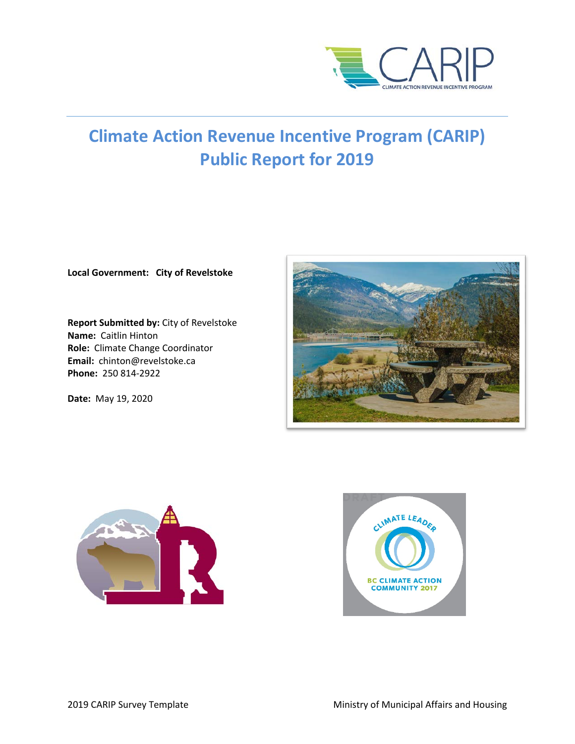

# **Climate Action Revenue Incentive Program (CARIP) Public Report for 2019**

**Local Government: City of Revelstoke**

**Report Submitted by:** City of Revelstoke **Name:** Caitlin Hinton **Role:** Climate Change Coordinator **Email:** chinton@revelstoke.ca **Phone:** 250 814-2922

**Date:** May 19, 2020





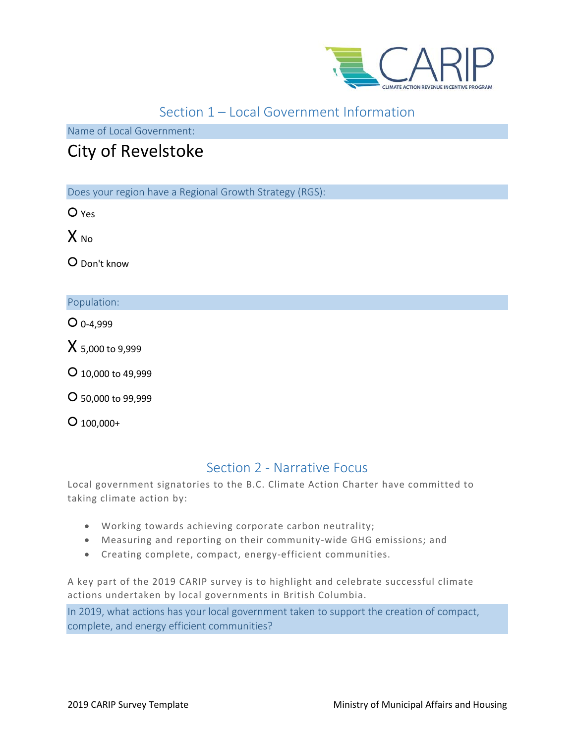

# Section 1 – Local Government Information

Name of Local Government:

# City of Revelstoke

Does your region have a Regional Growth Strategy (RGS):

○ Yes

 $X_{N0}$ 

○ Don't know

### Population:

 $O$  0-4,999

X 5,000 to 9,999

○ 10,000 to 49,999

○ 50,000 to 99,999

 $O$  100,000+

# Section 2 - Narrative Focus

Local government signatories to the B.C. Climate Action Charter have committed to taking climate action by:

- Working towards achieving corporate carbon neutrality;
- Measuring and reporting on their community-wide GHG emissions; and
- Creating complete, compact, energy-efficient communities.

A key part of the 2019 CARIP survey is to highlight and celebrate successful climate actions undertaken by local governments in British Columbia.

In 2019, what actions has your local government taken to support the creation of compact, complete, and energy efficient communities?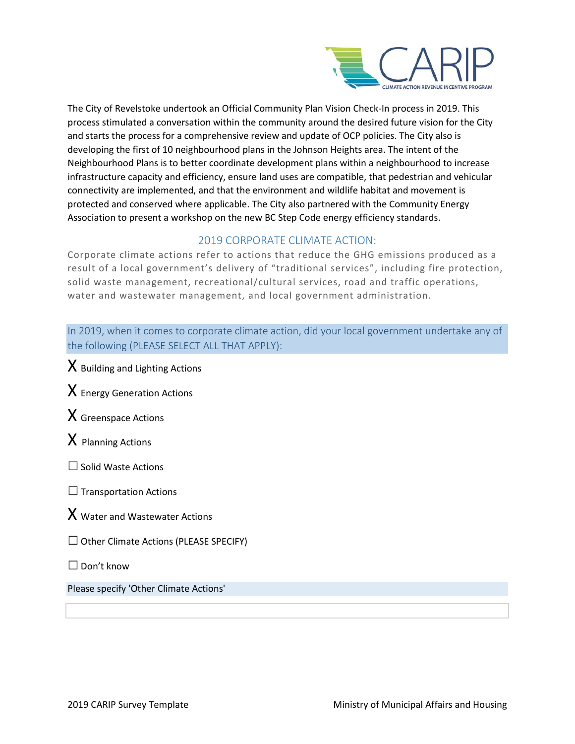

The City of Revelstoke undertook an Official Community Plan Vision Check-In process in 2019. This process stimulated a conversation within the community around the desired future vision for the City and starts the process for a comprehensive review and update of OCP policies. The City also is developing the first of 10 neighbourhood plans in the Johnson Heights area. The intent of the Neighbourhood Plans is to better coordinate development plans within a neighbourhood to increase infrastructure capacity and efficiency, ensure land uses are compatible, that pedestrian and vehicular connectivity are implemented, and that the environment and wildlife habitat and movement is protected and conserved where applicable. The City also partnered with the Community Energy Association to present a workshop on the new BC Step Code energy efficiency standards.

# 2019 CORPORATE CLIMATE ACTION:

Corporate climate actions refer to actions that reduce the GHG emissions produced as a result of a local government's delivery of "traditional services", including fire protection, solid waste management, recreational/cultural services, road and traffic operations, water and wastewater management, and local government administration.

In 2019, when it comes to corporate climate action, did your local government undertake any of the following (PLEASE SELECT ALL THAT APPLY):

 $X$  Building and Lighting Actions  $X$  Energy Generation Actions X Greenspace Actions  $X$  Planning Actions  $\Box$  Solid Waste Actions  $\Box$  Transportation Actions X Water and Wastewater Actions  $\Box$  Other Climate Actions (PLEASE SPECIFY)  $\Box$  Don't know

Please specify 'Other Climate Actions'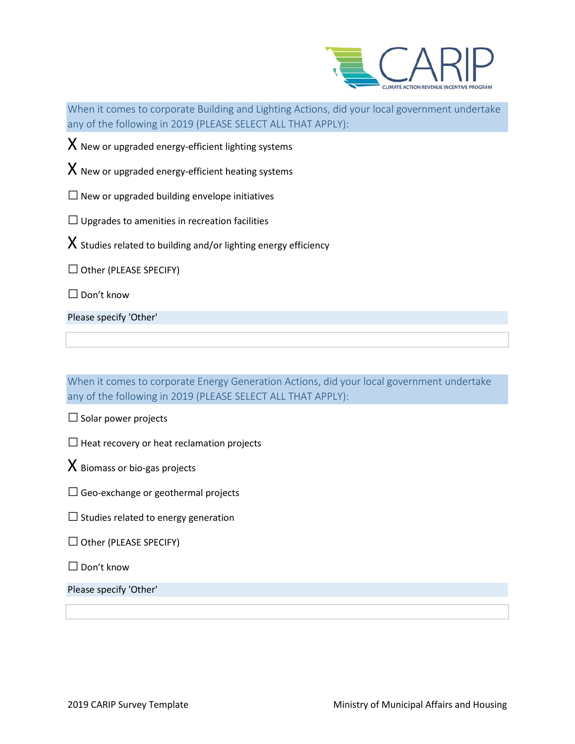

i<br>I When it comes to corporate Building and Lighting Actions, did your local government undertake any of the following in 2019 (PLEASE SELECT ALL THAT APPLY):

 $X$  New or upgraded energy-efficient lighting systems

 $X$  New or upgraded energy-efficient heating systems

 $\square$  New or upgraded building envelope initiatives

 $\Box$  Upgrades to amenities in recreation facilities

 $X$  Studies related to building and/or lighting energy efficiency

 $\Box$  Other (PLEASE SPECIFY)

□ Don't know

Please specify 'Other'

When it comes to corporate Energy Generation Actions, did your local government undertake any of the following in 2019 (PLEASE SELECT ALL THAT APPLY):

 $\square$  Solar power projects

 $\square$  Heat recovery or heat reclamation projects

 $X$  Biomass or bio-gas projects

 $\Box$  Geo-exchange or geothermal projects

 $\square$  Studies related to energy generation

 $\Box$  Other (PLEASE SPECIFY)

□ Don't know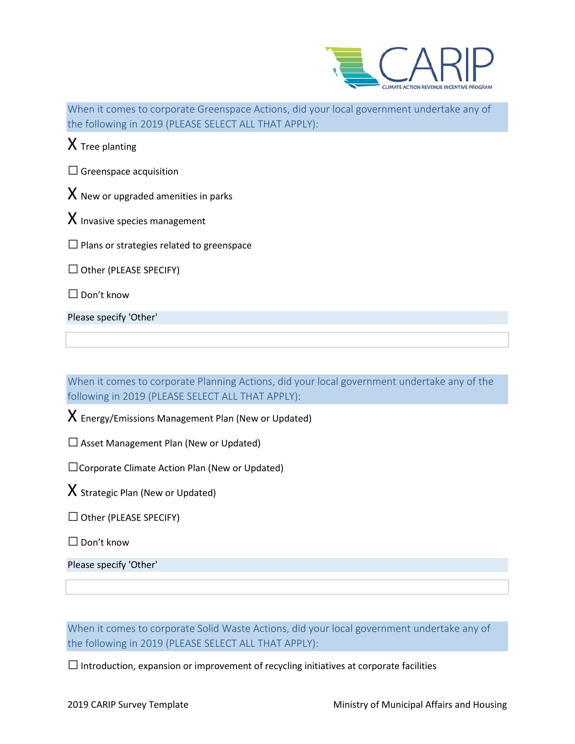

i<br>I When it comes to corporate Greenspace Actions, did your local government undertake any of  $\frac{1}{100}$   $\frac{1}{2010}$  (PLEASE SELECT ALL THAT APPLY)

|                                        | the following in 2019 (PLEASE SELECT ALL THAT APPLY): |  |  |
|----------------------------------------|-------------------------------------------------------|--|--|
|                                        | $X$ Tree planting                                     |  |  |
|                                        | $\Box$ Greenspace acquisition                         |  |  |
| $X$ New or upgraded amenities in parks |                                                       |  |  |
|                                        | $\bm{\chi}$ Invasive species management               |  |  |
|                                        | $\Box$ Plans or strategies related to greenspace      |  |  |
|                                        | $\Box$ Other (PLEASE SPECIFY)                         |  |  |
|                                        | Don't know                                            |  |  |

Please specify 'Other'

When it comes to corporate Planning Actions, did your local government undertake any of the following in 2019 (PLEASE SELECT ALL THAT APPLY):

 $X$  Energy/Emissions Management Plan (New or Updated)

 $\square$  Asset Management Plan (New or Updated)

□Corporate Climate Action Plan (New or Updated)

 $X$  Strategic Plan (New or Updated)

 $\Box$  Other (PLEASE SPECIFY)

□ Don't know

Please specify 'Other'

When it comes to corporate Solid Waste Actions, did your local government undertake any of the following in 2019 (PLEASE SELECT ALL THAT APPLY):

 $\square$  Introduction, expansion or improvement of recycling initiatives at corporate facilities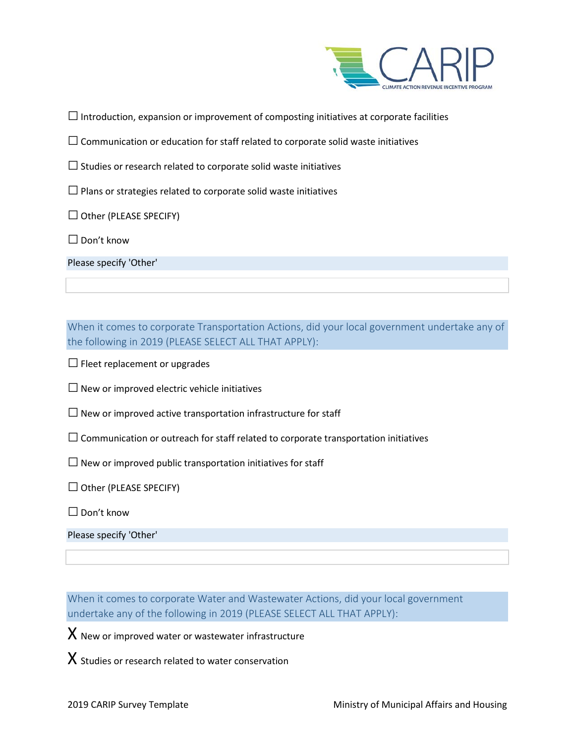

 $\Box$  Introduction, expansion or improvement of composting initiatives at corporate facilities

- $\square$  Communication or education for staff related to corporate solid waste initiatives
- $\square$  Studies or research related to corporate solid waste initiatives
- $\square$  Plans or strategies related to corporate solid waste initiatives
- $\Box$  Other (PLEASE SPECIFY)
- □ Don't know
- Please specify 'Other'

When it comes to corporate Transportation Actions, did your local government undertake any of the following in 2019 (PLEASE SELECT ALL THAT APPLY):

- $\Box$  Fleet replacement or upgrades
- $\square$  New or improved electric vehicle initiatives
- $\square$  New or improved active transportation infrastructure for staff
- $\square$  Communication or outreach for staff related to corporate transportation initiatives
- $\square$  New or improved public transportation initiatives for staff
- $\Box$  Other (PLEASE SPECIFY)
- $\Box$  Don't know

Please specify 'Other'

When it comes to corporate Water and Wastewater Actions, did your local government undertake any of the following in 2019 (PLEASE SELECT ALL THAT APPLY):

 $X$  New or improved water or wastewater infrastructure

 $X$  Studies or research related to water conservation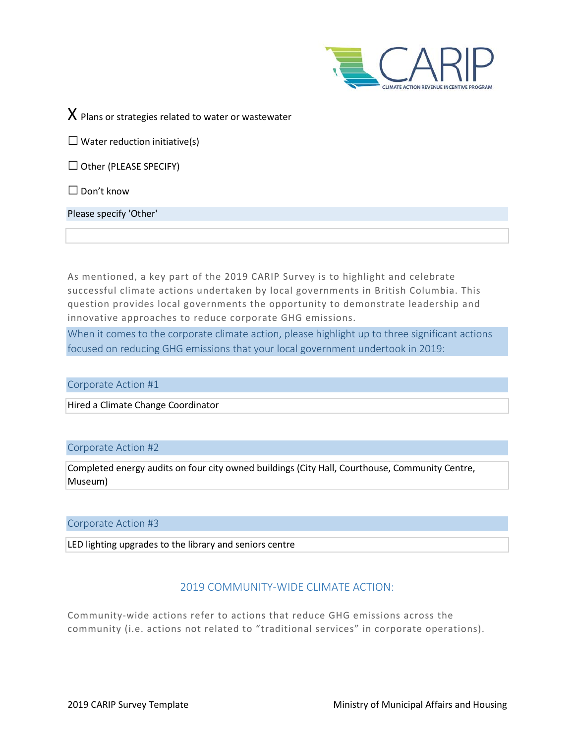

 $X$  Plans or strategies related to water or wastewater

 $\Box$  Water reduction initiative(s)

 $\Box$  Other (PLEASE SPECIFY)

 $\square$  Don't know

Please specify 'Other'

As mentioned, a key part of the 2019 CARIP Survey is to highlight and celebrate successful climate actions undertaken by local governments in British Columbia. This question provides local governments the opportunity to demonstrate leadership and innovative approaches to reduce corporate GHG emissions.

When it comes to the corporate climate action, please highlight up to three significant actions focused on reducing GHG emissions that your local government undertook in 2019:

Corporate Action #1

Hired a Climate Change Coordinator

#### Corporate Action #2

Completed energy audits on four city owned buildings (City Hall, Courthouse, Community Centre, Museum)

Corporate Action #3

LED lighting upgrades to the library and seniors centre

## 2019 COMMUNITY-WIDE CLIMATE ACTION:

Community-wide actions refer to actions that reduce GHG emissions across the community (i.e. actions not related to "traditional services" in corporate operations).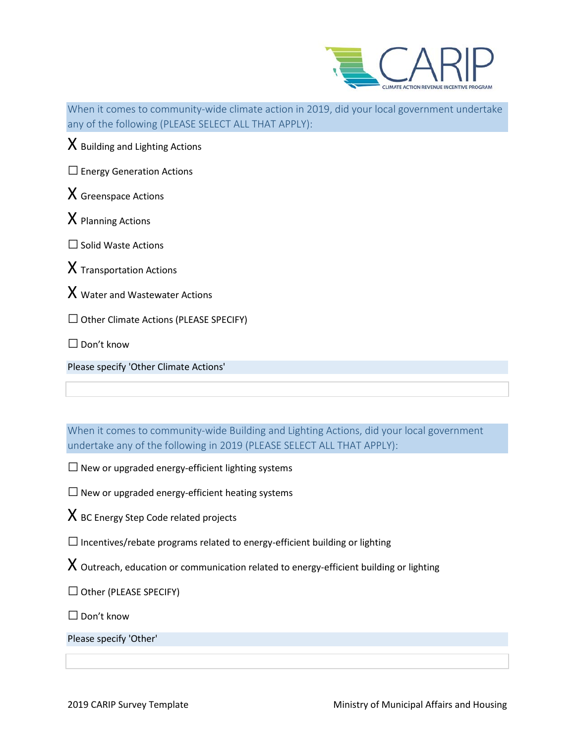

L, When it comes to community-wide climate action in 2019, did your local government undertake any of the following (PLEASE SELECT ALL THAT APPLY):

 $X$  Building and Lighting Actions

 $\square$  Energy Generation Actions

X Greenspace Actions

X Planning Actions

□Solid Waste Actions

 $X$  Transportation Actions

 $X$  Water and Wastewater Actions

 $\Box$  Other Climate Actions (PLEASE SPECIFY)

 $\Box$  Don't know

Please specify 'Other Climate Actions'

When it comes to community-wide Building and Lighting Actions, did your local government undertake any of the following in 2019 (PLEASE SELECT ALL THAT APPLY):

 $\square$  New or upgraded energy-efficient lighting systems

 $\square$  New or upgraded energy-efficient heating systems

 $X$  BC Energy Step Code related projects

 $\square$  Incentives/rebate programs related to energy-efficient building or lighting

 $X$  Outreach, education or communication related to energy-efficient building or lighting

 $\Box$  Other (PLEASE SPECIFY)

 $\square$  Don't know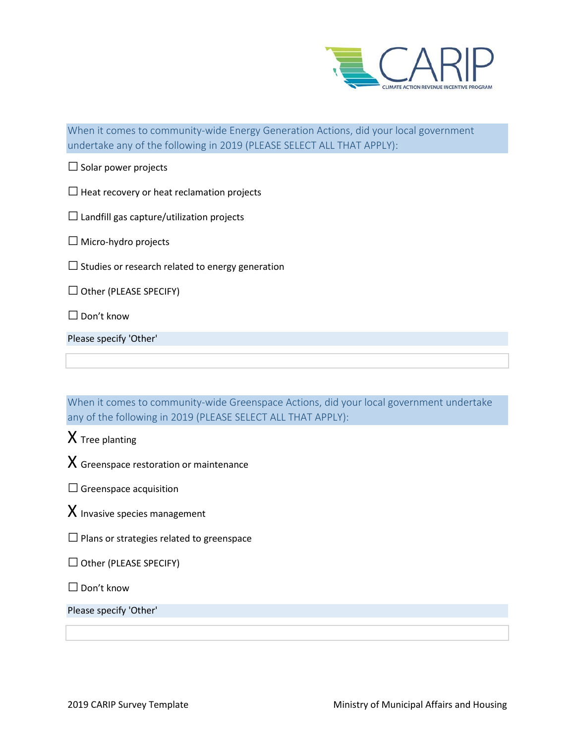

When it comes to community-wide Energy Generation Actions, did your local government undertake any of the following in 2019 (PLEASE SELECT ALL THAT APPLY):

 $\square$  Solar power projects

 $\square$  Heat recovery or heat reclamation projects

 $\square$  Landfill gas capture/utilization projects

 $\Box$  Micro-hydro projects

 $\square$  Studies or research related to energy generation

 $\Box$  Other (PLEASE SPECIFY)

□ Don't know

Please specify 'Other'

When it comes to community-wide Greenspace Actions, did your local government undertake any of the following in 2019 (PLEASE SELECT ALL THAT APPLY):

 $X$  Tree planting

 $X$  Greenspace restoration or maintenance

 $\square$  Greenspace acquisition

 $X$  Invasive species management

 $\square$  Plans or strategies related to greenspace

 $\Box$  Other (PLEASE SPECIFY)

 $\square$  Don't know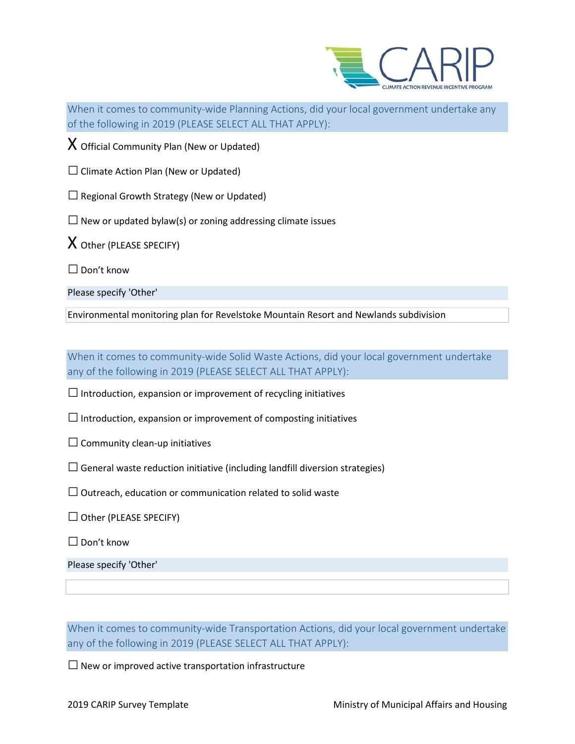

i<br>I When it comes to community-wide Planning Actions, did your local government undertake any of the following in 2019 (PLEASE SELECT ALL THAT APPLY):

 $X$  Official Community Plan (New or Updated)

 $\Box$  Climate Action Plan (New or Updated)

 $\square$  Regional Growth Strategy (New or Updated)

 $\square$  New or updated bylaw(s) or zoning addressing climate issues

X Other (PLEASE SPECIFY)

□ Don't know

Please specify 'Other'

Environmental monitoring plan for Revelstoke Mountain Resort and Newlands subdivision

When it comes to community-wide Solid Waste Actions, did your local government undertake any of the following in 2019 (PLEASE SELECT ALL THAT APPLY):

 $\square$  Introduction, expansion or improvement of recycling initiatives

 $\square$  Introduction, expansion or improvement of composting initiatives

 $\square$  Community clean-up initiatives

 $\Box$  General waste reduction initiative (including landfill diversion strategies)

 $\square$  Outreach, education or communication related to solid waste

 $\Box$  Other (PLEASE SPECIFY)

 $\Box$  Don't know

Please specify 'Other'

When it comes to community-wide Transportation Actions, did your local government undertake any of the following in 2019 (PLEASE SELECT ALL THAT APPLY):

 $\square$  New or improved active transportation infrastructure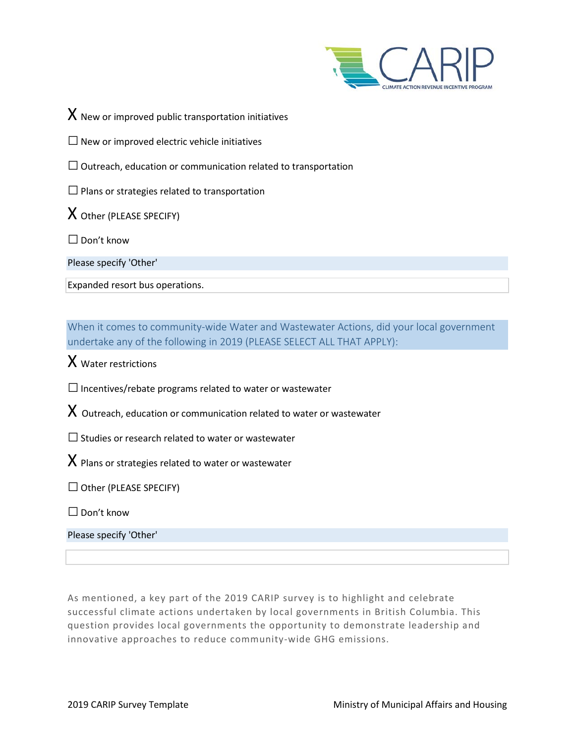

 $X$  New or improved public transportation initiatives

 $\square$  New or improved electric vehicle initiatives

 $\square$  Outreach, education or communication related to transportation

 $\square$  Plans or strategies related to transportation

X Other (PLEASE SPECIFY)

 $\Box$  Don't know

Please specify 'Other'

Expanded resort bus operations.

When it comes to community-wide Water and Wastewater Actions, did your local government undertake any of the following in 2019 (PLEASE SELECT ALL THAT APPLY):

 $X$  Water restrictions

 $\square$  Incentives/rebate programs related to water or wastewater

 $X$  Outreach, education or communication related to water or wastewater

 $\square$  Studies or research related to water or wastewater

 $X$  Plans or strategies related to water or wastewater

 $\Box$  Other (PLEASE SPECIFY)

 $\Box$  Don't know

Please specify 'Other'

As mentioned, a key part of the 2019 CARIP survey is to highlight and celebrate successful climate actions undertaken by local governments in British Columbia. This question provides local governments the opportunity to demonstrate leadership and innovative approaches to reduce community-wide GHG emissions.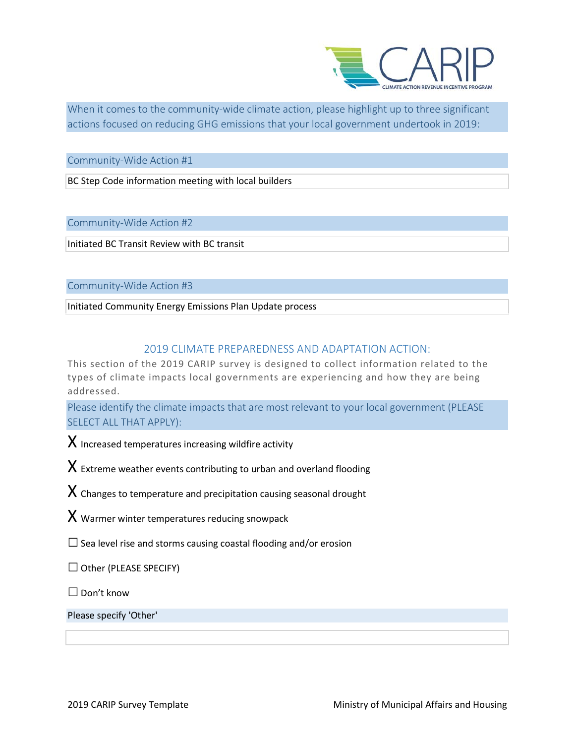

L, When it comes to the community-wide climate action, please highlight up to three significant actions focused on reducing GHG emissions that your local government undertook in 2019:

Community-Wide Action #1

BC Step Code information meeting with local builders

Community-Wide Action #2

Initiated BC Transit Review with BC transit

Community-Wide Action #3

Initiated Community Energy Emissions Plan Update process

#### 2019 CLIMATE PREPAREDNESS AND ADAPTATION ACTION:

This section of the 2019 CARIP survey is designed to collect information related to the types of climate impacts local governments are experiencing and how they are being addressed.

Please identify the climate impacts that are most relevant to your local government (PLEASE SELECT ALL THAT APPLY):

 $X$  Increased temperatures increasing wildfire activity

 $X$  Extreme weather events contributing to urban and overland flooding

 $X$  Changes to temperature and precipitation causing seasonal drought

 $X$  Warmer winter temperatures reducing snowpack

 $\square$  Sea level rise and storms causing coastal flooding and/or erosion

 $\Box$  Other (PLEASE SPECIFY)

 $\Box$  Don't know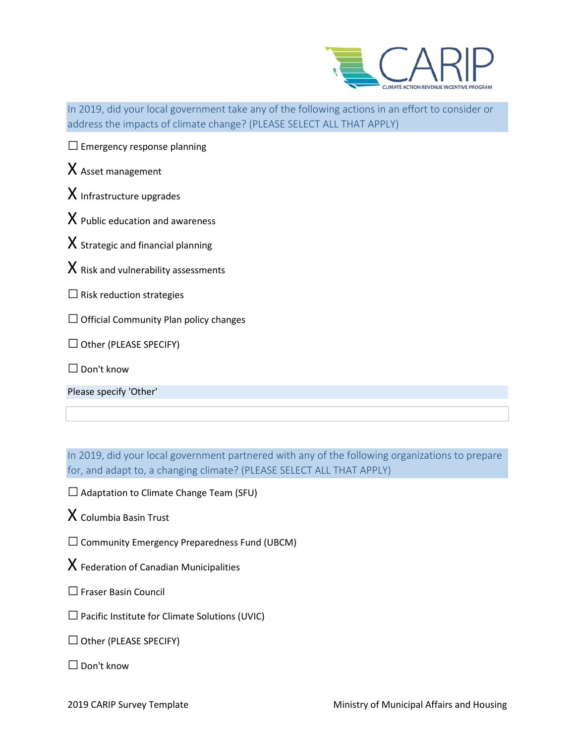

i<br>I In 2019, did your local government take any of the following actions in an effort to consider or address the impacts of climate change? (PLEASE SELECT ALL THAT APPLY)

| $\Box$ Emergency response planning |  |
|------------------------------------|--|
|------------------------------------|--|

# X Asset management

 $X$  Infrastructure upgrades

- $X$  Public education and awareness
- $X$  Strategic and financial planning
- $X$  Risk and vulnerability assessments
- $\square$  Risk reduction strategies
- $\Box$  Official Community Plan policy changes
- $\Box$  Other (PLEASE SPECIFY)
- $\Box$  Don't know

Please specify 'Other'

In 2019, did your local government partnered with any of the following organizations to prepare for, and adapt to, a changing climate? (PLEASE SELECT ALL THAT APPLY)

- □ Adaptation to Climate Change Team (SFU)
- $X$  Columbia Basin Trust
- $\square$  Community Emergency Preparedness Fund (UBCM)
- $X$  Federation of Canadian Municipalities
- □ Fraser Basin Council
- $\square$  Pacific Institute for Climate Solutions (UVIC)
- $\Box$  Other (PLEASE SPECIFY)
- □ Don't know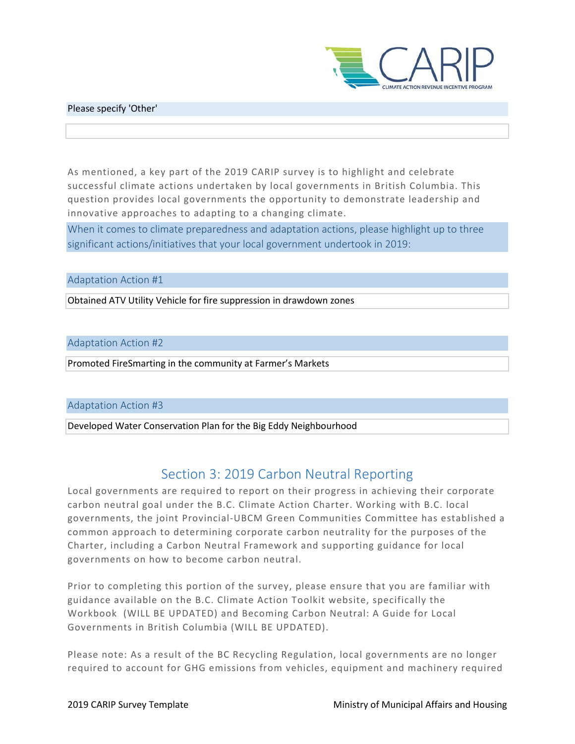

#### Please specify 'Other'

As mentioned, a key part of the 2019 CARIP survey is to highlight and celebrate successful climate actions undertaken by local governments in British Columbia. This question provides local governments the opportunity to demonstrate leadership and innovative approaches to adapting to a changing climate.

When it comes to climate preparedness and adaptation actions, please highlight up to three significant actions/initiatives that your local government undertook in 2019:

#### Adaptation Action #1

Obtained ATV Utility Vehicle for fire suppression in drawdown zones

#### Adaptation Action #2

Promoted FireSmarting in the community at Farmer's Markets

#### Adaptation Action #3

Developed Water Conservation Plan for the Big Eddy Neighbourhood

# Section 3: 2019 Carbon Neutral Reporting

Local governments are required to report on their progress in achieving their corporate carbon neutral goal under the B.C. Climate Action Charter. Working with B.C. local governments, the joint Provincial-UBCM Green Communities Committee has established a common approach to determining corporate carbon neutrality for the purposes of the Charter, including a Carbon Neutral Framework and supporting guidance for local governments on how to become carbon neutral.

Prior to completing this portion of the survey, please ensure that you are familiar with guidance available on the B.C. Climate Action Toolkit website, specifically the Workbook (WILL BE UPDATED) and Becoming Carbon Neutral: A Guide for Local Governments in British Columbia (WILL BE UPDATED).

Please note: As a result of the BC Recycling Regulation, local governments are no longer required to account for GHG emissions from vehicles, equipment and machinery required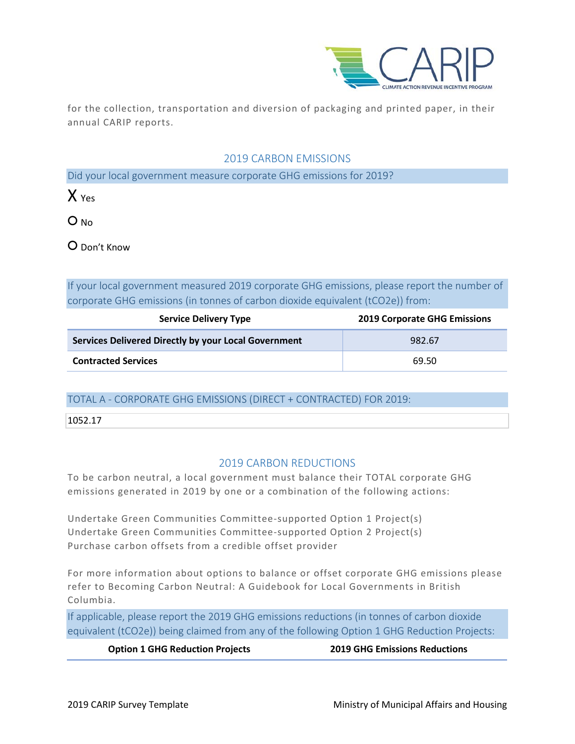

for the collection, transportation and diversion of packaging and printed paper, in their annual CARIP reports.

### 2019 CARBON EMISSIONS

Did your local government measure corporate GHG emissions for 2019?

 $X_{Y}$ 

O No

○ Don't Know

If your local government measured 2019 corporate GHG emissions, please report the number of corporate GHG emissions (in tonnes of carbon dioxide equivalent (tCO2e)) from:

| <b>Service Delivery Type</b>                         | <b>2019 Corporate GHG Emissions</b> |
|------------------------------------------------------|-------------------------------------|
| Services Delivered Directly by your Local Government | 982.67                              |
| <b>Contracted Services</b>                           | 69.50                               |

## TOTAL A - CORPORATE GHG EMISSIONS (DIRECT + CONTRACTED) FOR 2019:

1052.17

## 2019 CARBON REDUCTIONS

To be carbon neutral, a local government must balance their TOTAL corporate GHG emissions generated in 2019 by one or a combination of the following actions:

Undertake Green Communities Committee-supported Option 1 Project(s) Undertake Green Communities Committee-supported Option 2 Project(s) Purchase carbon offsets from a credible offset provider

For more information about options to balance or offset corporate GHG emissions please refer to Becoming Carbon Neutral: A Guidebook for Local Governments in British Columbia.

If applicable, please report the 2019 GHG emissions reductions (in tonnes of carbon dioxide equivalent (tCO2e)) being claimed from any of the following Option 1 GHG Reduction Projects:

**Option 1 GHG Reduction Projects 2019 GHG Emissions Reductions**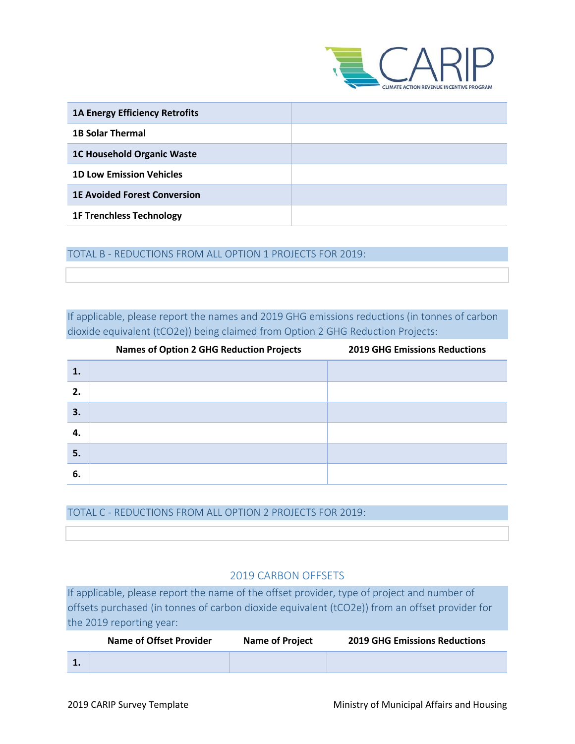

| <b>1A Energy Efficiency Retrofits</b> |  |
|---------------------------------------|--|
| <b>1B Solar Thermal</b>               |  |
| <b>1C Household Organic Waste</b>     |  |
| <b>1D Low Emission Vehicles</b>       |  |
| <b>1E Avoided Forest Conversion</b>   |  |
| <b>1F Trenchless Technology</b>       |  |

TOTAL B - REDUCTIONS FROM ALL OPTION 1 PROJECTS FOR 2019:

If applicable, please report the names and 2019 GHG emissions reductions (in tonnes of carbon dioxide equivalent (tCO2e)) being claimed from Option 2 GHG Reduction Projects:

|    | <b>Names of Option 2 GHG Reduction Projects</b> | <b>2019 GHG Emissions Reductions</b> |
|----|-------------------------------------------------|--------------------------------------|
| 1. |                                                 |                                      |
| 2. |                                                 |                                      |
| 3. |                                                 |                                      |
| 4. |                                                 |                                      |
| 5. |                                                 |                                      |
| 6. |                                                 |                                      |

TOTAL C - REDUCTIONS FROM ALL OPTION 2 PROJECTS FOR 2019:

## 2019 CARBON OFFSETS

If applicable, please report the name of the offset provider, type of project and number of offsets purchased (in tonnes of carbon dioxide equivalent (tCO2e)) from an offset provider for the 2019 reporting year:

| <b>Name of Offset Provider</b> | <b>Name of Project</b> | <b>2019 GHG Emissions Reductions</b> |
|--------------------------------|------------------------|--------------------------------------|
|                                |                        |                                      |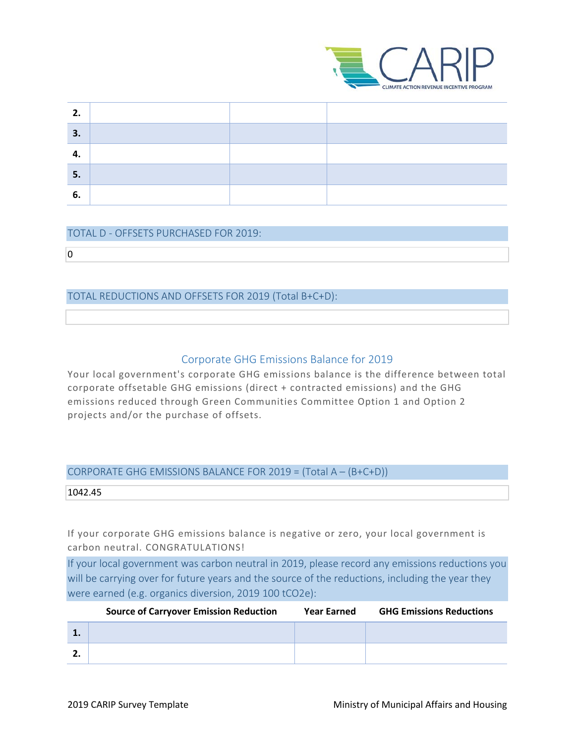

| ר  |  |  |  |
|----|--|--|--|
| 3. |  |  |  |
|    |  |  |  |
| 5. |  |  |  |
| o  |  |  |  |

#### TOTAL D - OFFSETS PURCHASED FOR 2019:

 $\overline{0}$ 

#### TOTAL REDUCTIONS AND OFFSETS FOR 2019 (Total B+C+D):

#### Corporate GHG Emissions Balance for 2019

Your local government's corporate GHG emissions balance is the difference between total corporate offsetable GHG emissions (direct + contracted emissions) and the GHG emissions reduced through Green Communities Committee Option 1 and Option 2 projects and/or the purchase of offsets.

#### CORPORATE GHG EMISSIONS BALANCE FOR 2019 = (Total A – (B+C+D))

1042.45

If your corporate GHG emissions balance is negative or zero, your local government is carbon neutral. CONGRATULATIONS!

If your local government was carbon neutral in 2019, please record any emissions reductions you will be carrying over for future years and the source of the reductions, including the year they were earned (e.g. organics diversion, 2019 100 tCO2e):

| <b>Source of Carryover Emission Reduction</b> | <b>Year Earned</b> | <b>GHG Emissions Reductions</b> |
|-----------------------------------------------|--------------------|---------------------------------|
|                                               |                    |                                 |
|                                               |                    |                                 |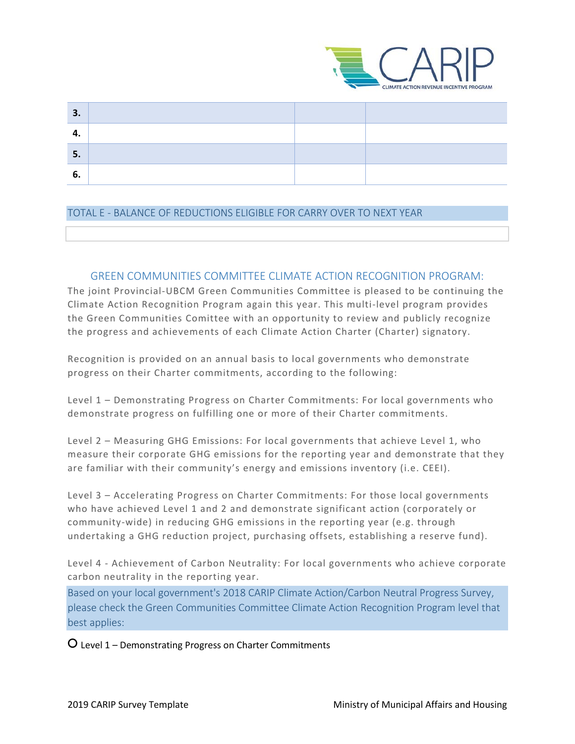

| 3. |  |  |
|----|--|--|
|    |  |  |
| 5. |  |  |
|    |  |  |

#### TOTAL E - BALANCE OF REDUCTIONS ELIGIBLE FOR CARRY OVER TO NEXT YEAR

#### GREEN COMMUNITIES COMMITTEE CLIMATE ACTION RECOGNITION PROGRAM:

The joint Provincial-UBCM Green Communities Committee is pleased to be continuing the Climate Action Recognition Program again this year. This multi-level program provides the Green Communities Comittee with an opportunity to review and publicly recognize the progress and achievements of each Climate Action Charter (Charter) signatory.

Recognition is provided on an annual basis to local governments who demonstrate progress on their Charter commitments, according to the following:

Level 1 – Demonstrating Progress on Charter Commitments: For local governments who demonstrate progress on fulfilling one or more of their Charter commitments.

Level 2 – Measuring GHG Emissions: For local governments that achieve Level 1, who measure their corporate GHG emissions for the reporting year and demonstrate that they are familiar with their community's energy and emissions inventory (i.e. CEEI).

Level 3 – Accelerating Progress on Charter Commitments: For those local governments who have achieved Level 1 and 2 and demonstrate significant action (corporately or community-wide) in reducing GHG emissions in the reporting year (e.g. through undertaking a GHG reduction project, purchasing offsets, establishing a reserve fund).

Level 4 - Achievement of Carbon Neutrality: For local governments who achieve corporate carbon neutrality in the reporting year.

Based on your local government's 2018 CARIP Climate Action/Carbon Neutral Progress Survey, please check the Green Communities Committee Climate Action Recognition Program level that best applies:

○ Level 1 – Demonstrating Progress on Charter Commitments